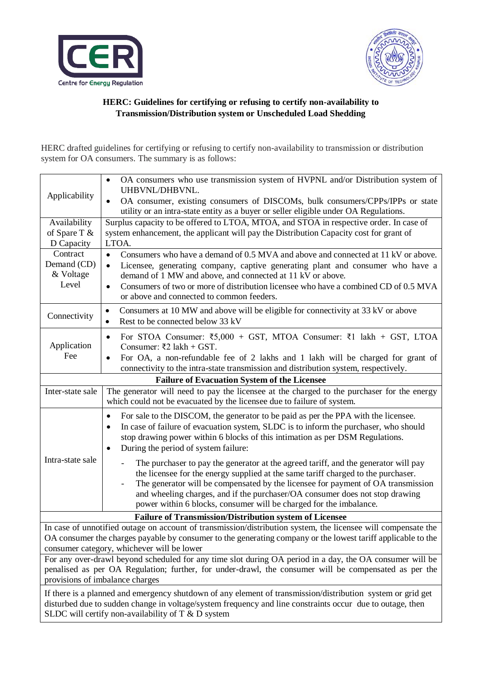



## **HERC: Guidelines for certifying or refusing to certify non-availability to Transmission/Distribution system or Unscheduled Load Shedding**

HERC drafted guidelines for certifying or refusing to certify non-availability to transmission or distribution system for OA consumers. The summary is as follows:

| Applicability                                                                                                 | OA consumers who use transmission system of HVPNL and/or Distribution system of<br>$\bullet$<br>UHBVNL/DHBVNL.                                                                     |
|---------------------------------------------------------------------------------------------------------------|------------------------------------------------------------------------------------------------------------------------------------------------------------------------------------|
|                                                                                                               | OA consumer, existing consumers of DISCOMs, bulk consumers/CPPs/IPPs or state<br>$\bullet$<br>utility or an intra-state entity as a buyer or seller eligible under OA Regulations. |
| Availability                                                                                                  | Surplus capacity to be offered to LTOA, MTOA, and STOA in respective order. In case of                                                                                             |
| of Spare T &                                                                                                  | system enhancement, the applicant will pay the Distribution Capacity cost for grant of                                                                                             |
| D Capacity                                                                                                    | LTOA.                                                                                                                                                                              |
| Contract                                                                                                      | Consumers who have a demand of 0.5 MVA and above and connected at 11 kV or above.<br>$\bullet$                                                                                     |
| Demand (CD)                                                                                                   | Licensee, generating company, captive generating plant and consumer who have a<br>$\bullet$                                                                                        |
| & Voltage<br>Level                                                                                            | demand of 1 MW and above, and connected at 11 kV or above.                                                                                                                         |
|                                                                                                               | Consumers of two or more of distribution licensee who have a combined CD of 0.5 MVA<br>$\bullet$<br>or above and connected to common feeders.                                      |
| Connectivity                                                                                                  | Consumers at 10 MW and above will be eligible for connectivity at 33 kV or above<br>$\bullet$                                                                                      |
|                                                                                                               | Rest to be connected below 33 kV<br>$\bullet$                                                                                                                                      |
| Application<br>Fee                                                                                            | For STOA Consumer: $\overline{\xi}$ 5,000 + GST, MTOA Consumer: $\overline{\xi}$ 1 lakh + GST, LTOA<br>٠<br>Consumer: ₹2 lakh + GST.                                               |
|                                                                                                               | For OA, a non-refundable fee of 2 lakhs and 1 lakh will be charged for grant of<br>$\bullet$                                                                                       |
|                                                                                                               | connectivity to the intra-state transmission and distribution system, respectively.                                                                                                |
| <b>Failure of Evacuation System of the Licensee</b>                                                           |                                                                                                                                                                                    |
| Inter-state sale                                                                                              | The generator will need to pay the licensee at the charged to the purchaser for the energy                                                                                         |
|                                                                                                               | which could not be evacuated by the licensee due to failure of system.                                                                                                             |
| Intra-state sale                                                                                              | For sale to the DISCOM, the generator to be paid as per the PPA with the licensee.<br>$\bullet$                                                                                    |
|                                                                                                               | In case of failure of evacuation system, SLDC is to inform the purchaser, who should<br>$\bullet$                                                                                  |
|                                                                                                               | stop drawing power within 6 blocks of this intimation as per DSM Regulations.                                                                                                      |
|                                                                                                               | During the period of system failure:                                                                                                                                               |
|                                                                                                               | The purchaser to pay the generator at the agreed tariff, and the generator will pay                                                                                                |
|                                                                                                               | the licensee for the energy supplied at the same tariff charged to the purchaser.                                                                                                  |
|                                                                                                               | The generator will be compensated by the licensee for payment of OA transmission<br>and wheeling charges, and if the purchaser/OA consumer does not stop drawing                   |
|                                                                                                               | power within 6 blocks, consumer will be charged for the imbalance.                                                                                                                 |
| <b>Failure of Transmission/Distribution system of Licensee</b>                                                |                                                                                                                                                                                    |
| In case of unnotified outage on account of transmission/distribution system, the licensee will compensate the |                                                                                                                                                                                    |
| OA consumer the charges payable by consumer to the generating company or the lowest tariff applicable to the  |                                                                                                                                                                                    |
| consumer category, whichever will be lower                                                                    |                                                                                                                                                                                    |
| For any over-drawl beyond scheduled for any time slot during OA period in a day, the OA consumer will be      |                                                                                                                                                                                    |
| penalised as per OA Regulation; further, for under-drawl, the consumer will be compensated as per the         |                                                                                                                                                                                    |
| provisions of imbalance charges                                                                               |                                                                                                                                                                                    |
| If there is a planned and emergency shutdown of any element of transmission/distribution system or grid get   |                                                                                                                                                                                    |
| disturbed due to sudden change in voltage/system frequency and line constraints occur due to outage, then     |                                                                                                                                                                                    |

SLDC will certify non-availability of T & D system